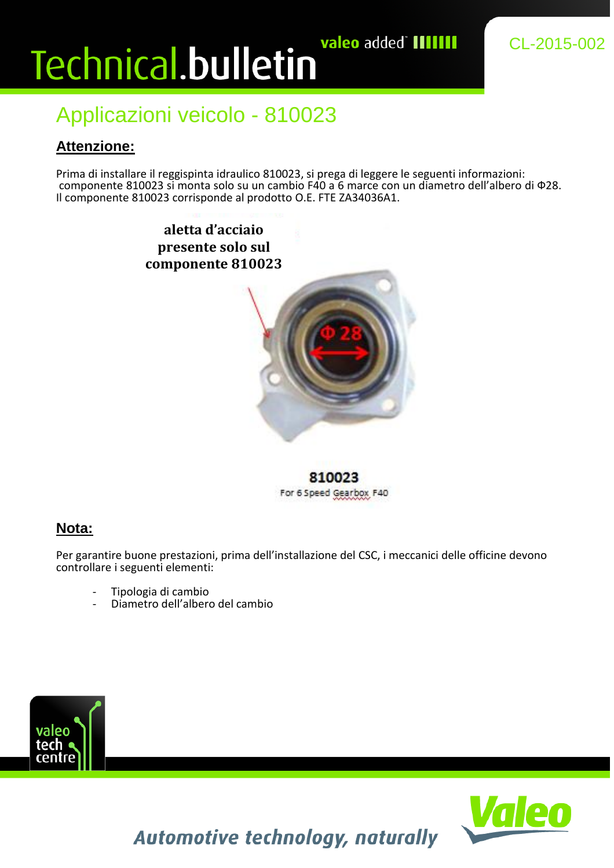# valeo added`IIIIIII Technical.bulletin

### Applicazioni veicolo - 810023

### **Attenzione:**

Prima di installare il reggispinta idraulico 810023, si prega di leggere le seguenti informazioni: componente 810023 si monta solo su un cambio F40 a 6 marce con un diametro dell'albero di Ф28. Il componente 810023 corrisponde al prodotto O.E. FTE ZA34036A1.

> **aletta d'acciaio presente solo sul componente 810023**



810023 For 6 Speed Gearbox F40

#### **Nota:**

Per garantire buone prestazioni, prima dell'installazione del CSC, i meccanici delle officine devono controllare i seguenti elementi:

- Tipologia di cambio
- Diametro dell'albero del cambio





**Automotive technology, naturally**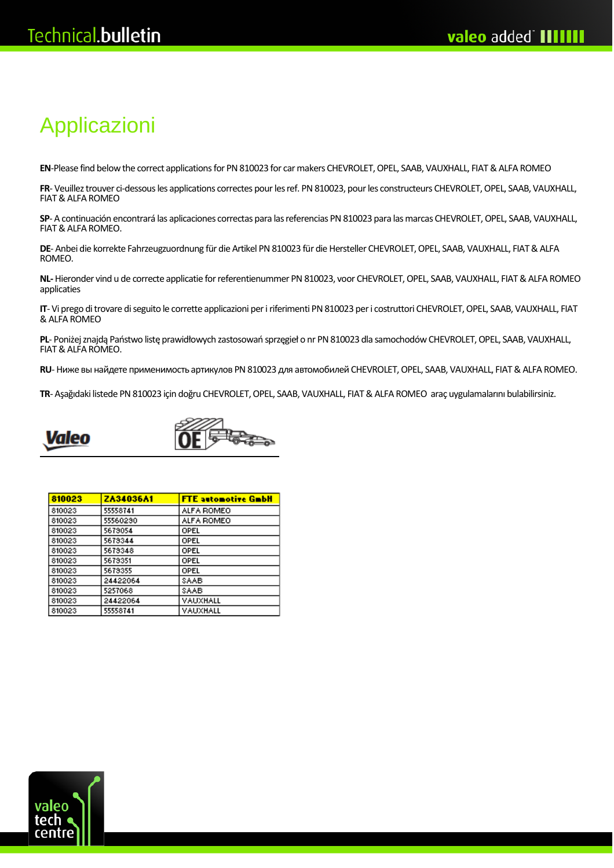## Applicazioni

**EN**-Please find below the correct applications for PN 810023 for car makers CHEVROLET, OPEL, SAAB, VAUXHALL, FIAT & ALFA ROMEO

**FR**- Veuillez trouver ci-dessous les applications correctes pour les ref. PN 810023, pour les constructeurs CHEVROLET, OPEL, SAAB, VAUXHALL, FIAT & ALFA ROMEO

**SP**- A continuación encontrará las aplicaciones correctas para las referencias PN 810023 para las marcas CHEVROLET, OPEL, SAAB, VAUXHALL, FIAT & ALFA ROMEO.

**DE**- Anbei die korrekte Fahrzeugzuordnung für die Artikel PN 810023 für die Hersteller CHEVROLET, OPEL, SAAB, VAUXHALL, FIAT & ALFA ROMEO.

**NL-**Hieronder vind u de correcte applicatie for referentienummer PN 810023, voor CHEVROLET, OPEL, SAAB, VAUXHALL, FIAT & ALFA ROMEO applicaties

**IT**- Vi prego di trovare di seguito le corrette applicazioni per i riferimenti PN 810023 per i costruttori CHEVROLET, OPEL, SAAB, VAUXHALL, FIAT & ALFA ROMEO

**PL**- Poniżej znajdą Państwo listę prawidłowych zastosowań sprzęgieł o nr PN 810023 dla samochodów CHEVROLET, OPEL, SAAB, VAUXHALL, FIAT & ALFA ROMEO.

**RU**-Ниже вы найдете применимость артикулов PN 810023 для автомобилей CHEVROLET, OPEL, SAAB, VAUXHALL, FIAT & ALFA ROMEO.

**TR**- Aşağıdaki listede PN 810023 için doğru CHEVROLET, OPEL, SAAB, VAUXHALL, FIAT & ALFA ROMEO araç uygulamalarını bulabilirsiniz.





| 810023 | <b>ZA34036A1</b> | <b>FTE</b> automotive GmbH |
|--------|------------------|----------------------------|
| 810023 | 55558741         | ALFA ROMEO                 |
| 810023 | 55560290         | ALFA ROMEO                 |
| 810023 | 5679054          | OPEL                       |
| 810023 | 5679344          | OPEL                       |
| 810023 | 5679348          | OPEL                       |
| 810023 | 5679351          | OPEL                       |
| 810023 | 5679355          | OPEL                       |
| 810023 | 24422064         | SAAB                       |
| 810023 | 5257068          | SAAB                       |
| 810023 | 24422064         | VAUXHALL                   |
| 810023 | 55558741         | VAUXHALL                   |

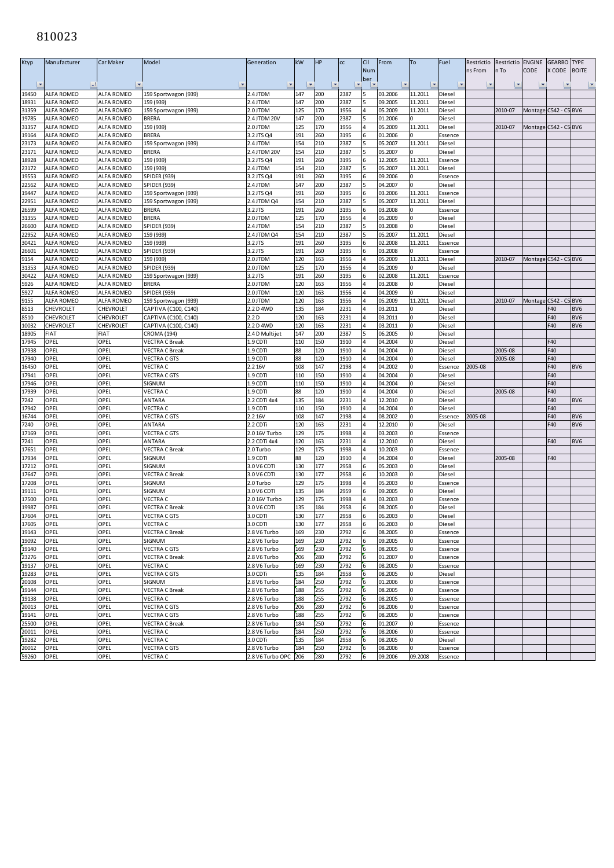#### 

| <b>Ktyp</b> | Manufacturer      | Car Maker         | Model                    | Generation               | kW                      | HP  | cc   | Cil | From    | To           | Fuel    | Restrictio | Restrictio | <b>ENGINE</b> | <b>GEARBO</b>         | <b>TYPE</b>              |
|-------------|-------------------|-------------------|--------------------------|--------------------------|-------------------------|-----|------|-----|---------|--------------|---------|------------|------------|---------------|-----------------------|--------------------------|
|             |                   |                   |                          |                          |                         |     |      | Num |         |              |         | ns From    | n To       | CODE          | X CODE                | <b>BOITE</b>             |
|             |                   |                   |                          |                          |                         |     |      | ber |         |              |         |            |            |               |                       |                          |
|             | $  -1$            | ∣≁                | $\overline{\phantom{a}}$ | $\vert \mathbf{v} \vert$ | $\overline{\mathbf{v}}$ |     |      |     |         |              |         |            |            |               |                       | $\vert \mathbf{v} \vert$ |
| 19450       | <b>ALFA ROMEO</b> | <b>ALFA ROMEO</b> | 159 Sportwagon (939)     | 2.4 JTDM                 | 147                     | 200 | 2387 |     | 03.2006 | 11.2011      | Diesel  |            |            |               |                       |                          |
| 18931       | ALFA ROMEO        | <b>ALFA ROMEO</b> | 159 (939)                | 2.4 JTDM                 | 147                     | 200 | 2387 |     | 09.2005 | 11.2011      | Diesel  |            |            |               |                       |                          |
| 31359       | ALFA ROMEO        | <b>ALFA ROMEO</b> | 159 Sportwagon (939)     | 2.0 JTDM                 | 125                     | 170 | 1956 |     | 05.2009 | 11.2011      | Diesel  |            | 2010-07    |               | Montage C542 - C5 BV6 |                          |
| 19785       | <b>ALFA ROMEO</b> | <b>ALFA ROMEO</b> | <b>BRERA</b>             | 2.4 JTDM 20V             | 147                     | 200 | 2387 |     | 01.2006 |              | Diesel  |            |            |               |                       |                          |
| 31357       | ALFA ROMEO        | ALFA ROMEO        | 159 (939)                | 2.0 JTDM                 | 125                     | 170 | 1956 | 4   | 05.2009 | 11.2011      | Diesel  |            | 2010-07    |               | Montage C542 - C5 BV6 |                          |
|             |                   |                   |                          |                          |                         |     |      |     |         |              |         |            |            |               |                       |                          |
| 19164       | <b>ALFA ROMEO</b> | ALFA ROMEO        | BRERA                    | 3.2 JTS Q4               | 191                     | 260 | 3195 |     | 01.2006 | <sup>n</sup> | Essence |            |            |               |                       |                          |
| 23173       | ALFA ROMEO        | <b>ALFA ROMEO</b> | 159 Sportwagon (939)     | 2.4 JTDM                 | 154                     | 210 | 2387 |     | 05.2007 | 11.2011      | Diesel  |            |            |               |                       |                          |
| 23171       | ALFA ROMEO        | ALFA ROMEO        | BRERA                    | 2.4 JTDM 20V             | 154                     | 210 | 2387 |     | 05.2007 |              | Diesel  |            |            |               |                       |                          |
| 18928       | <b>ALFA ROMEO</b> | <b>ALFA ROMEO</b> | 159 (939)                | 3.2 JTS Q4               | 191                     | 260 | 3195 |     | 12.2005 | 11.2011      | Essence |            |            |               |                       |                          |
| 23172       | ALFA ROMEO        | ALFA ROMEO        | 159 (939)                | 2.4 JTDM                 | 154                     | 210 | 2387 |     | 05.2007 | 11.2011      | Diesel  |            |            |               |                       |                          |
| 19553       | ALFA ROMEO        | ALFA ROMEO        | <b>SPIDER (939)</b>      | 3.2 JTS Q4               | 191                     | 260 | 3195 | 6   | 09.2006 | U            | Essence |            |            |               |                       |                          |
| 22562       | <b>ALFA ROMEO</b> | ALFA ROMEO        | <b>SPIDER (939)</b>      | 2.4 JTDM                 | 147                     | 200 | 2387 |     | 04.2007 |              | Diesel  |            |            |               |                       |                          |
| 19447       | ALFA ROMEO        | ALFA ROMEO        | 159 Sportwagon (939)     | 3.2 JTS Q4               | 191                     | 260 | 3195 |     | 03.2006 | 11.2011      | Essence |            |            |               |                       |                          |
| 22951       | ALFA ROMEO        | <b>ALFA ROMEO</b> | 159 Sportwagon (939)     | 2.4 JTDM Q4              | 154                     | 210 | 2387 |     | 05.2007 | 11.2011      | Diesel  |            |            |               |                       |                          |
|             |                   |                   |                          |                          |                         |     |      |     |         |              |         |            |            |               |                       |                          |
| 26599       | <b>ALFA ROMEO</b> | <b>ALFA ROMEO</b> | BRERA                    | 3.2 JTS                  | 191                     | 260 | 3195 |     | 03.2008 | 0            | Essence |            |            |               |                       |                          |
| 31355       | ALFA ROMEO        | ALFA ROMEO        | <b>BRERA</b>             | 2.0 JTDM                 | 125                     | 170 | 1956 |     | 05.2009 |              | Diesel  |            |            |               |                       |                          |
| 26600       | <b>ALFA ROMEO</b> | <b>ALFA ROMEO</b> | <b>SPIDER (939)</b>      | 2.4 JTDM                 | 154                     | 210 | 2387 |     | 03.2008 | 0            | Diesel  |            |            |               |                       |                          |
| 22952       | ALFA ROMEO        | ALFA ROMEO        | 159 (939)                | 2.4 JTDM Q4              | 154                     | 210 | 2387 |     | 05.2007 | 11.2011      | Diesel  |            |            |               |                       |                          |
| 30421       | ALFA ROMEO        | ALFA ROMEO        | 159 (939)                | 3.2 JTS                  | 191                     | 260 | 3195 |     | 02.2008 | 11.2011      | Essence |            |            |               |                       |                          |
| 26601       | <b>ALFA ROMEO</b> | ALFA ROMEO        | <b>SPIDER (939)</b>      | 3.2 JTS                  | 191                     | 260 | 3195 | 6   | 03.2008 | $\Omega$     | Essence |            |            |               |                       |                          |
| 9154        | ALFA ROMEO        | ALFA ROMEO        | 159 (939)                | 2.0 JTDM                 | 120                     | 163 | 1956 |     | 05.2009 | 11.2011      | Diesel  |            | 2010-07    |               | Montage C542 - C5 BV6 |                          |
| 31353       | ALFA ROMEO        | ALFA ROMEO        | SPIDER (939)             | 2.0 JTDM                 | 125                     | 170 | 1956 |     | 05.2009 |              | Diesel  |            |            |               |                       |                          |
| 30422       | <b>ALFA ROMEO</b> | ALFA ROMEO        | 159 Sportwagon (939)     | 3.2 JTS                  | 191                     | 260 | 3195 |     | 02.2008 | 11.2011      | Essence |            |            |               |                       |                          |
|             |                   |                   |                          |                          |                         |     |      |     |         |              |         |            |            |               |                       |                          |
| 5926        | ALFA ROMEO        | ALFA ROMEO        | BRERA                    | 2.0 JTDM                 | 120                     | 163 | 1956 |     | 03.2008 | 0            | Diesel  |            |            |               |                       |                          |
| 5927        | <b>ALFA ROMEO</b> | ALFA ROMEO        | <b>SPIDER (939)</b>      | 2.0 JTDM                 | 120                     | 163 | 1956 |     | 04.2009 |              | Diesel  |            |            |               |                       |                          |
| 9155        | <b>ALFA ROMEO</b> | ALFA ROMEO        | 159 Sportwagon (939)     | 2.0 JTDM                 | 120                     | 163 | 1956 |     | 05.2009 | 11.2011      | Diesel  |            | 2010-07    | Montage       | C542 - C5 BV6         |                          |
| 8513        | CHEVROLET         | CHEVROLET         | CAPTIVA (C100, C140)     | 2.2 D 4WD                | 135                     | 184 | 2231 |     | 03.2011 |              | Diesel  |            |            |               | F40                   | BV <sub>6</sub>          |
| 8510        | CHEVROLET         | CHEVROLET         | CAPTIVA (C100, C140)     | 2.2D                     | 120                     | L63 | 2231 |     | 03.2011 |              | Diesel  |            |            |               | F40                   | BV <sub>6</sub>          |
| 10032       | CHEVROLET         | CHEVROLET         | CAPTIVA (C100, C140)     | 2.2 D 4WD                | 120                     | 163 | 2231 |     | 03.2011 | U            | Diesel  |            |            |               | F40                   | BV <sub>6</sub>          |
| 18905       | FIAT              | FIAT              | CROMA (194)              | 2.4 D Multijet           | 147                     | 200 | 2387 |     | 06.2005 |              | Diesel  |            |            |               |                       |                          |
| 17945       | OPEL              | OPEL              | <b>VECTRA C Break</b>    | 1.9 CDTI                 | 110                     | 150 | 1910 |     | 04.2004 |              | Diesel  |            |            |               | F40                   |                          |
| 17938       | OPEL              | OPEL              | <b>VECTRA C Break</b>    | 1.9 CDTI                 | 88                      | 120 | 1910 |     | 04.2004 |              | Diesel  |            | 2005-08    |               | F40                   |                          |
|             |                   |                   |                          |                          |                         |     |      |     |         |              |         |            |            |               |                       |                          |
| 17940       | OPEL              | OPEL              | VECTRA C GTS             | L.9 CDTI                 | 88                      | 120 | 1910 |     | 04.2004 |              | Diesel  |            | 2005-08    |               | F40                   |                          |
| 16450       | OPEL              | OPEL              | VECTRA C                 | 2.2 16V                  | 108                     | 147 | 2198 |     | 04.2002 |              | Essence | 2005-08    |            |               | F40                   | BV <sub>6</sub>          |
| 17941       | OPEL              | OPEL              | <b>VECTRA C GTS</b>      | 1.9 CDTI                 | 110                     | 150 | 1910 |     | 04.2004 | <sup>0</sup> | Diesel  |            |            |               | F40                   |                          |
| 17946       | OPEL              | OPEL              | SIGNUM                   | L.9 CDTI                 | 110                     | 150 | 1910 |     | 04.2004 |              | Diesel  |            |            |               | F40                   |                          |
| 17939       | OPEL              | OPEL              | VECTRA C                 | 1.9 CDTI                 | 88                      | 120 | 1910 |     | 04.2004 |              | Diesel  |            | 2005-08    |               | F40                   |                          |
| 7242        | OPEL              | OPEL              | ANTARA                   | 2.2 CDTi 4x4             | 135                     | 184 | 2231 |     | 12.2010 |              | Diesel  |            |            |               | F40                   | BV <sub>6</sub>          |
| 17942       | OPEL              | OPEL              | VECTRA C                 | 1.9 CDTI                 | 110                     | 150 | 1910 |     | 04.2004 |              | Diesel  |            |            |               | F40                   |                          |
| 16744       | OPEL              | OPEL              | VECTRA C GTS             | 2.2 16V                  | 108                     | 147 | 2198 |     | 08.2002 |              | Essence | 2005-08    |            |               | F40                   | BV <sub>6</sub>          |
| 7240        | OPEL              | OPEL              | ANTARA                   | 2.2 CDTi                 | 120                     | 163 | 2231 |     | 12.2010 |              | Diesel  |            |            |               | F40                   | BV <sub>6</sub>          |
| 17169       | OPEL              | OPEL              | <b>VECTRA C GTS</b>      | 2.0 16V Turbo            | 129                     | 175 | 1998 |     | 03.2003 |              | Essence |            |            |               |                       |                          |
|             |                   |                   |                          |                          |                         |     |      |     |         |              |         |            |            |               |                       |                          |
| 7241        | OPEL              | OPEL              | ANTARA                   | 2.2 CDTi 4x4             | 120                     | 163 | 2231 |     | 12.2010 |              | Diesel  |            |            |               | F40                   | BV <sub>6</sub>          |
| 17651       | OPEL              | OPEL              | <b>VECTRA C Break</b>    | 2.0 Turbo                | 129                     | 175 | 1998 |     | 10.2003 |              | Essence |            |            |               |                       |                          |
| 17934       | OPEL              | OPEL              | SIGNUM                   | L.9 CDTI                 | 88                      | 120 | 1910 |     | 04.2004 |              | Diesel  |            | 2005-08    |               | F40                   |                          |
| 17212       | OPEL              | OPEL              | SIGNUM                   | 3.0 V6 CDTI              | 130                     | 177 | 2958 |     | 05.2003 |              | Diesel  |            |            |               |                       |                          |
| 17647       | OPEL              | OPEL              | VECTRA C Break           | 3.0 V6 CDTI              | 130                     | 177 | 2958 |     | 10.2003 |              | Diesel  |            |            |               |                       |                          |
| 17208       | OPEL              | OPEL              | SIGNUM                   | 2.0 Turbo                | 129                     | 175 | 1998 |     | 05.2003 | <sup>0</sup> | Essence |            |            |               |                       |                          |
| 19111       | OPEL              | OPEL              | SIGNUM                   | 3.0 V6 CDTI              | 135                     | 184 | 2959 |     | 09.2005 |              | Diesel  |            |            |               |                       |                          |
| 17500       | OPEL              | OPEL              | VECTRA C                 | 2.0 16V Turbo            | 129                     | 175 | 1998 |     | 03.2003 |              | Essence |            |            |               |                       |                          |
| 19987       | OPEL              | OPEL              | <b>VECTRA C Break</b>    | 3.0 V6 CDTI              | 135                     | 184 | 2958 | 6   | 08.2005 | 0            | Diesel  |            |            |               |                       |                          |
| 17604       | OPEL              | OPEL              | <b>VECTRA C GTS</b>      | 3.0 CDTI                 | 130                     | 177 | 2958 | 6   | 06.2003 | O            | Diesel  |            |            |               |                       |                          |
|             | OPEL              | OPEL              | VECTRA C                 | 3.0 CDTI                 | 130                     | 177 | 2958 |     | 06.2003 |              | Diesel  |            |            |               |                       |                          |
| 17605       |                   |                   |                          |                          |                         |     |      |     |         |              |         |            |            |               |                       |                          |
| 19143       | OPEL              | OPEL              | <b>VECTRA C Break</b>    | 2.8 V6 Turbo             | 169                     | 230 | 2792 | 6   | 08.2005 | $\Omega$     | Essence |            |            |               |                       |                          |
| 19092       | OPEL              | OPEL              | SIGNUM                   | 2.8 V6 Turbo             | 169                     | 230 | 2792 |     | 09.2005 |              | Essence |            |            |               |                       |                          |
| 19140       | OPEL              | OPEL              | <b>VECTRA C GTS</b>      | 2.8 V6 Turbo             | 169                     | 230 | 2792 | 6   | 08.2005 |              | Essence |            |            |               |                       |                          |
| 23276       | OPEL              | OPEL              | <b>VECTRA C Break</b>    | 2.8 V6 Turbo             | 206                     | 280 | 2792 | 6   | 01.2007 | $\Omega$     | Essence |            |            |               |                       |                          |
| 19137       | OPEL              | OPEL              | VECTRA C                 | 2.8 V6 Turbo             | 169                     | 230 | 2792 | 6   | 08.2005 | 0            | Essence |            |            |               |                       |                          |
| 19283       | OPEL              | OPEL              | <b>VECTRA C GTS</b>      | 3.0 CDTi                 | 135                     | 184 | 2958 | 6   | 08.2005 |              | Diesel  |            |            |               |                       |                          |
| 20108       | OPEL              | OPEL              | SIGNUM                   | 2.8 V6 Turbo             | 184                     | 250 | 2792 |     | 01.2006 |              | Essence |            |            |               |                       |                          |
| 19144       | OPEL              | OPEL              | VECTRA C Break           | 2.8 V6 Turbo             | 188                     | 255 | 2792 | 6   | 08.2005 |              | Essence |            |            |               |                       |                          |
|             |                   |                   |                          |                          |                         |     |      |     |         |              |         |            |            |               |                       |                          |
| 19138       | OPEL              | OPEL              | VECTRA C                 | 2.8 V6 Turbo             | 188                     | 255 | 2792 | 6   | 08.2005 |              | Essence |            |            |               |                       |                          |
| 20013       | OPEL              | OPEL              | <b>VECTRA C GTS</b>      | 2.8 V6 Turbo             | 206                     | 280 | 2792 | 6   | 08.2006 |              | Essence |            |            |               |                       |                          |
| 19141       | OPEL              | OPEL              | VECTRA C GTS             | 2.8 V6 Turbo             | 188                     | 255 | 2792 |     | 08.2005 |              | Essence |            |            |               |                       |                          |
| 25500       | OPEL              | OPEL              | VECTRA C Break           | 2.8 V6 Turbo             | 184                     | 250 | 2792 | 6   | 01.2007 |              | Essence |            |            |               |                       |                          |
| 20011       | OPEL              | OPEL              | <b>VECTRA C</b>          | 2.8 V6 Turbo             | 184                     | 250 | 2792 |     | 08.2006 |              | Essence |            |            |               |                       |                          |
| 19282       | OPEL              | OPEL              | VECTRA C                 | 3.0 CDTi                 | 135                     | 184 | 2958 | 6   | 08.2005 |              | Diesel  |            |            |               |                       |                          |
| 20012       | OPEL              | OPEL              | <b>VECTRA C GTS</b>      | 2.8 V6 Turbo             | 184                     | 250 | 2792 | 6   | 08.2006 |              | Essence |            |            |               |                       |                          |
| 59260       | OPEL              | OPEL              | VECTRA C                 | 2.8 V6 Turbo OPC         | 206                     | 280 | 2792 | 6   | 09.2006 | 09.2008      | Essence |            |            |               |                       |                          |